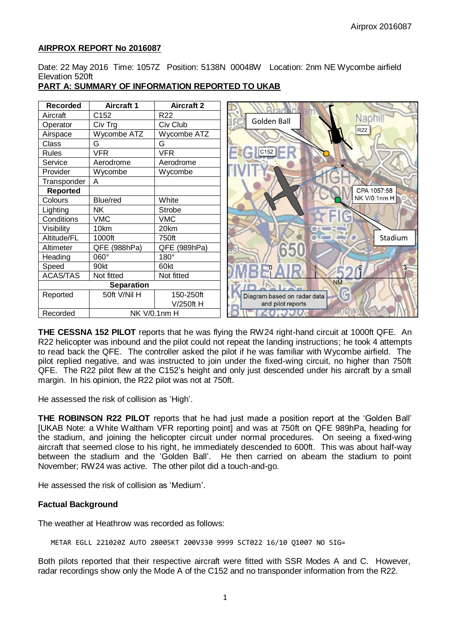## **AIRPROX REPORT No 2016087**

Date: 22 May 2016 Time: 1057Z Position: 5138N 00048W Location: 2nm NE Wycombe airfield Elevation 520ft

#### **Recorded Aircraft 1 Aircraft 2** Aircraft C152 R22 Naphil Golden Ball Operator | Civ Trg | Civ Club R<sub>22</sub> Airspace Wycombe ATZ Wycombe ATZ<br>Class G G G Class G G G<br>
Rules VFR VFR Rules VFR  $C152$ Service | Aerodrome | Aerodrome Provider Wycombe Wycombe Transponder  $\vert$  A CPA 1057:58 **Reported NK V/0.1nm H** Colours Blue/red White Lighting NK Strobe<br>
Conditions VMC VMC Conditions VMC VMC<br>Visibility 10km 20km Visibility Altitude/FL 1000ft 750ft StadiumAltimeter QFE (988hPa) QFE (989hPa) Heading  $\vert$  060°  $\vert$  180° Speed 90kt 60kt ACAS/TAS Not fitted Not fitted **NM Separation** Reported 50ft V/Nil H 150-250ft Diagram based on radar data V/250ft H and pilot reports Recorded NK V/0.1nm H

# **PART A: SUMMARY OF INFORMATION REPORTED TO UKAB**

**THE CESSNA 152 PILOT** reports that he was flying the RW24 right-hand circuit at 1000ft QFE. An R22 helicopter was inbound and the pilot could not repeat the landing instructions; he took 4 attempts to read back the QFE. The controller asked the pilot if he was familiar with Wycombe airfield. The pilot replied negative, and was instructed to join under the fixed-wing circuit, no higher than 750ft QFE. The R22 pilot flew at the C152's height and only just descended under his aircraft by a small margin. In his opinion, the R22 pilot was not at 750ft.

He assessed the risk of collision as 'High'.

**THE ROBINSON R22 PILOT** reports that he had just made a position report at the 'Golden Ball' [UKAB Note: a White Waltham VFR reporting point] and was at 750ft on QFE 989hPa, heading for the stadium, and joining the helicopter circuit under normal procedures. On seeing a fixed-wing aircraft that seemed close to his right, he immediately descended to 600ft. This was about half-way between the stadium and the 'Golden Ball'. He then carried on abeam the stadium to point November; RW24 was active. The other pilot did a touch-and-go.

He assessed the risk of collision as 'Medium'.

## **Factual Background**

The weather at Heathrow was recorded as follows:

METAR EGLL 221020Z AUTO 28005KT 200V330 9999 SCT022 16/10 Q1007 NO SIG=

Both pilots reported that their respective aircraft were fitted with SSR Modes A and C. However, radar recordings show only the Mode A of the C152 and no transponder information from the R22.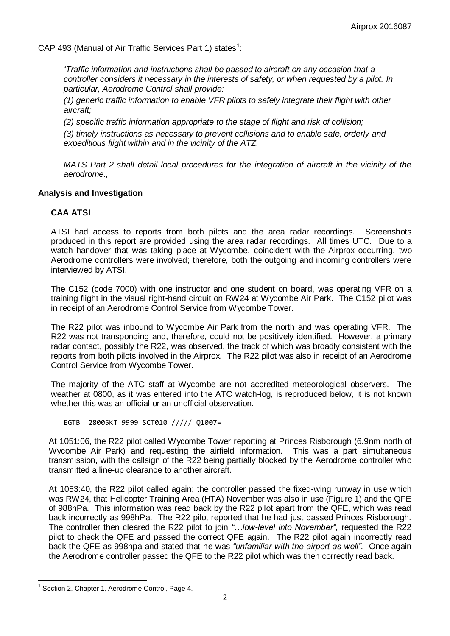CAP 493 (Manual of Air Traffic Services Part 1) states<sup>1</sup>:

*'Traffic information and instructions shall be passed to aircraft on any occasion that a controller considers it necessary in the interests of safety, or when requested by a pilot. In particular, Aerodrome Control shall provide:* 

*(1) generic traffic information to enable VFR pilots to safely integrate their flight with other aircraft;* 

*(2) specific traffic information appropriate to the stage of flight and risk of collision;* 

*(3) timely instructions as necessary to prevent collisions and to enable safe, orderly and expeditious flight within and in the vicinity of the ATZ.* 

*MATS Part 2 shall detail local procedures for the integration of aircraft in the vicinity of the aerodrome.,*

#### **Analysis and Investigation**

## **CAA ATSI**

ATSI had access to reports from both pilots and the area radar recordings. Screenshots produced in this report are provided using the area radar recordings. All times UTC. Due to a watch handover that was taking place at Wycombe, coincident with the Airprox occurring, two Aerodrome controllers were involved; therefore, both the outgoing and incoming controllers were interviewed by ATSI.

The C152 (code 7000) with one instructor and one student on board, was operating VFR on a training flight in the visual right-hand circuit on RW24 at Wycombe Air Park. The C152 pilot was in receipt of an Aerodrome Control Service from Wycombe Tower.

The R22 pilot was inbound to Wycombe Air Park from the north and was operating VFR. The R22 was not transponding and, therefore, could not be positively identified. However, a primary radar contact, possibly the R22, was observed, the track of which was broadly consistent with the reports from both pilots involved in the Airprox. The R22 pilot was also in receipt of an Aerodrome Control Service from Wycombe Tower.

The majority of the ATC staff at Wycombe are not accredited meteorological observers. The weather at 0800, as it was entered into the ATC watch-log, is reproduced below, it is not known whether this was an official or an unofficial observation.

EGTB 28005KT 9999 SCT010 ///// Q1007=

At 1051:06, the R22 pilot called Wycombe Tower reporting at Princes Risborough (6.9nm north of Wycombe Air Park) and requesting the airfield information. This was a part simultaneous transmission, with the callsign of the R22 being partially blocked by the Aerodrome controller who transmitted a line-up clearance to another aircraft.

At 1053:40, the R22 pilot called again; the controller passed the fixed-wing runway in use which was RW24, that Helicopter Training Area (HTA) November was also in use (Figure 1) and the QFE of 988hPa. This information was read back by the R22 pilot apart from the QFE, which was read back incorrectly as 998hPa. The R22 pilot reported that he had just passed Princes Risborough. The controller then cleared the R22 pilot to join *"…low-level into November",* requested the R22 pilot to check the QFE and passed the correct QFE again. The R22 pilot again incorrectly read back the QFE as 998hpa and stated that he was *"unfamiliar with the airport as well".* Once again the Aerodrome controller passed the QFE to the R22 pilot which was then correctly read back.

 $\overline{a}$  $<sup>1</sup>$  Section 2, Chapter 1, Aerodrome Control, Page 4.</sup>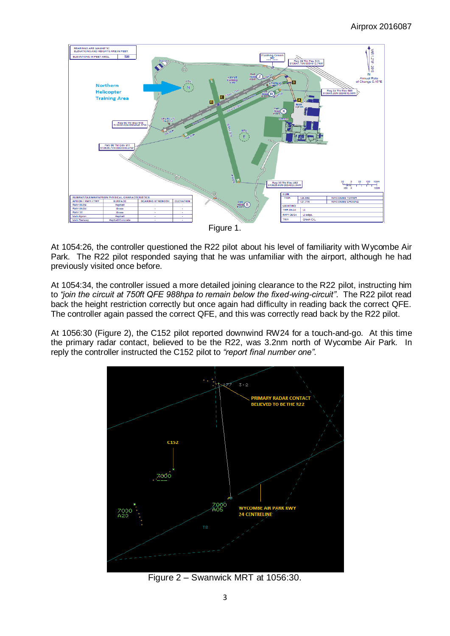

Figure 1.

At 1054:26, the controller questioned the R22 pilot about his level of familiarity with Wycombe Air Park. The R22 pilot responded saying that he was unfamiliar with the airport, although he had previously visited once before.

At 1054:34, the controller issued a more detailed joining clearance to the R22 pilot, instructing him to *"join the circuit at 750ft QFE 988hpa to remain below the fixed-wing-circuit"*. The R22 pilot read back the height restriction correctly but once again had difficulty in reading back the correct QFE. The controller again passed the correct QFE, and this was correctly read back by the R22 pilot.

At 1056:30 (Figure 2), the C152 pilot reported downwind RW24 for a touch-and-go. At this time the primary radar contact, believed to be the R22, was 3.2nm north of Wycombe Air Park. In reply the controller instructed the C152 pilot to *"report final number one".*



Figure 2 – Swanwick MRT at 1056:30.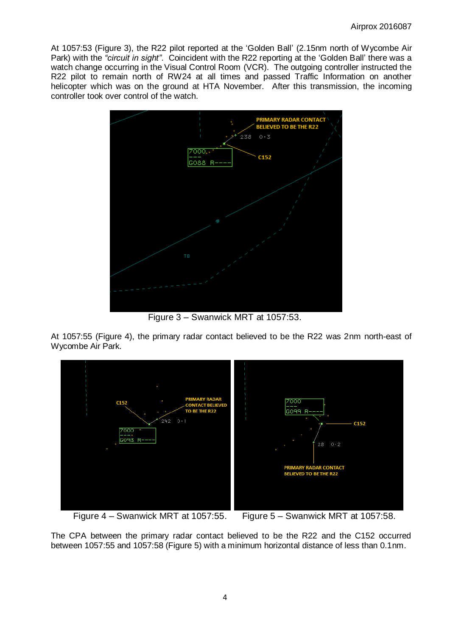At 1057:53 (Figure 3), the R22 pilot reported at the 'Golden Ball' (2.15nm north of Wycombe Air Park) with the *"circuit in sight"*. Coincident with the R22 reporting at the 'Golden Ball' there was a watch change occurring in the Visual Control Room (VCR). The outgoing controller instructed the R22 pilot to remain north of RW24 at all times and passed Traffic Information on another helicopter which was on the ground at HTA November. After this transmission, the incoming controller took over control of the watch.



Figure 3 – Swanwick MRT at 1057:53.

At 1057:55 (Figure 4), the primary radar contact believed to be the R22 was 2nm north-east of Wycombe Air Park.



Figure 4 – Swanwick MRT at 1057:55. Figure 5 – Swanwick MRT at 1057:58.

The CPA between the primary radar contact believed to be the R22 and the C152 occurred between 1057:55 and 1057:58 (Figure 5) with a minimum horizontal distance of less than 0.1nm.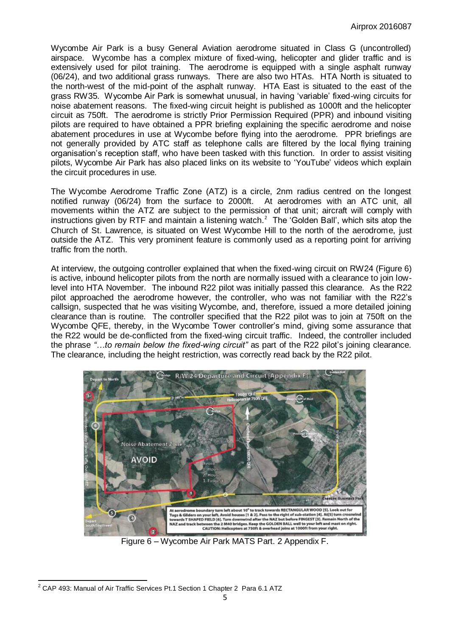Wycombe Air Park is a busy General Aviation aerodrome situated in Class G (uncontrolled) airspace. Wycombe has a complex mixture of fixed-wing, helicopter and glider traffic and is extensively used for pilot training. The aerodrome is equipped with a single asphalt runway (06/24), and two additional grass runways. There are also two HTAs. HTA North is situated to the north-west of the mid-point of the asphalt runway. HTA East is situated to the east of the grass RW35. Wycombe Air Park is somewhat unusual, in having 'variable' fixed-wing circuits for noise abatement reasons. The fixed-wing circuit height is published as 1000ft and the helicopter circuit as 750ft. The aerodrome is strictly Prior Permission Required (PPR) and inbound visiting pilots are required to have obtained a PPR briefing explaining the specific aerodrome and noise abatement procedures in use at Wycombe before flying into the aerodrome. PPR briefings are not generally provided by ATC staff as telephone calls are filtered by the local flying training organisation's reception staff, who have been tasked with this function. In order to assist visiting pilots, Wycombe Air Park has also placed links on its website to 'YouTube' videos which explain the circuit procedures in use.

The Wycombe Aerodrome Traffic Zone (ATZ) is a circle, 2nm radius centred on the longest notified runway (06/24) from the surface to 2000ft. At aerodromes with an ATC unit, all movements within the ATZ are subject to the permission of that unit; aircraft will comply with instructions given by RTF and maintain a listening watch.<sup>2</sup> The 'Golden Ball', which sits atop the Church of St. Lawrence, is situated on West Wycombe Hill to the north of the aerodrome, just outside the ATZ. This very prominent feature is commonly used as a reporting point for arriving traffic from the north.

At interview, the outgoing controller explained that when the fixed-wing circuit on RW24 (Figure 6) is active, inbound helicopter pilots from the north are normally issued with a clearance to join lowlevel into HTA November. The inbound R22 pilot was initially passed this clearance. As the R22 pilot approached the aerodrome however, the controller, who was not familiar with the R22's callsign, suspected that he was visiting Wycombe, and, therefore, issued a more detailed joining clearance than is routine. The controller specified that the R22 pilot was to join at 750ft on the Wycombe QFE, thereby, in the Wycombe Tower controller's mind, giving some assurance that the R22 would be de-conflicted from the fixed-wing circuit traffic. Indeed, the controller included the phrase *"…to remain below the fixed-wing circuit"* as part of the R22 pilot's joining clearance. The clearance, including the height restriction, was correctly read back by the R22 pilot.



Figure 6 – Wycombe Air Park MATS Part. 2 Appendix F.

 $\overline{a}$  $^{2}$  CAP 493: Manual of Air Traffic Services Pt.1 Section 1 Chapter 2 Para 6.1 ATZ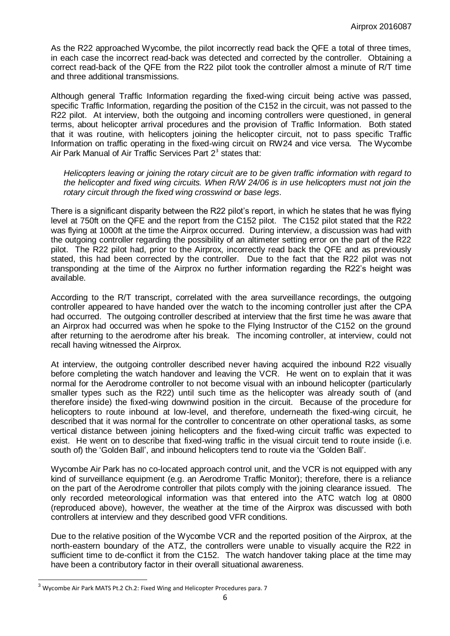As the R22 approached Wycombe, the pilot incorrectly read back the QFE a total of three times, in each case the incorrect read-back was detected and corrected by the controller. Obtaining a correct read-back of the QFE from the R22 pilot took the controller almost a minute of R/T time and three additional transmissions.

Although general Traffic Information regarding the fixed-wing circuit being active was passed, specific Traffic Information, regarding the position of the C152 in the circuit, was not passed to the R22 pilot. At interview, both the outgoing and incoming controllers were questioned, in general terms, about helicopter arrival procedures and the provision of Traffic Information. Both stated that it was routine, with helicopters joining the helicopter circuit, not to pass specific Traffic Information on traffic operating in the fixed-wing circuit on RW24 and vice versa. The Wycombe Air Park Manual of Air Traffic Services Part  $2<sup>3</sup>$  states that:

*Helicopters leaving or joining the rotary circuit are to be given traffic information with regard to the helicopter and fixed wing circuits. When R/W 24/06 is in use helicopters must not join the rotary circuit through the fixed wing crosswind or base legs.* 

There is a significant disparity between the R22 pilot's report, in which he states that he was flying level at 750ft on the QFE and the report from the C152 pilot. The C152 pilot stated that the R22 was flying at 1000ft at the time the Airprox occurred. During interview, a discussion was had with the outgoing controller regarding the possibility of an altimeter setting error on the part of the R22 pilot. The R22 pilot had, prior to the Airprox, incorrectly read back the QFE and as previously stated, this had been corrected by the controller. Due to the fact that the R22 pilot was not transponding at the time of the Airprox no further information regarding the R22's height was available.

According to the R/T transcript, correlated with the area surveillance recordings, the outgoing controller appeared to have handed over the watch to the incoming controller just after the CPA had occurred. The outgoing controller described at interview that the first time he was aware that an Airprox had occurred was when he spoke to the Flying Instructor of the C152 on the ground after returning to the aerodrome after his break. The incoming controller, at interview, could not recall having witnessed the Airprox.

At interview, the outgoing controller described never having acquired the inbound R22 visually before completing the watch handover and leaving the VCR. He went on to explain that it was normal for the Aerodrome controller to not become visual with an inbound helicopter (particularly smaller types such as the R22) until such time as the helicopter was already south of (and therefore inside) the fixed-wing downwind position in the circuit. Because of the procedure for helicopters to route inbound at low-level, and therefore, underneath the fixed-wing circuit, he described that it was normal for the controller to concentrate on other operational tasks, as some vertical distance between joining helicopters and the fixed-wing circuit traffic was expected to exist. He went on to describe that fixed-wing traffic in the visual circuit tend to route inside (i.e. south of) the 'Golden Ball', and inbound helicopters tend to route via the 'Golden Ball'.

Wycombe Air Park has no co-located approach control unit, and the VCR is not equipped with any kind of surveillance equipment (e.g. an Aerodrome Traffic Monitor); therefore, there is a reliance on the part of the Aerodrome controller that pilots comply with the joining clearance issued. The only recorded meteorological information was that entered into the ATC watch log at 0800 (reproduced above), however, the weather at the time of the Airprox was discussed with both controllers at interview and they described good VFR conditions.

Due to the relative position of the Wycombe VCR and the reported position of the Airprox, at the north-eastern boundary of the ATZ, the controllers were unable to visually acquire the R22 in sufficient time to de-conflict it from the C152. The watch handover taking place at the time may have been a contributory factor in their overall situational awareness.

 $\overline{a}$ 

 $3$  Wycombe Air Park MATS Pt.2 Ch.2: Fixed Wing and Helicopter Procedures para. 7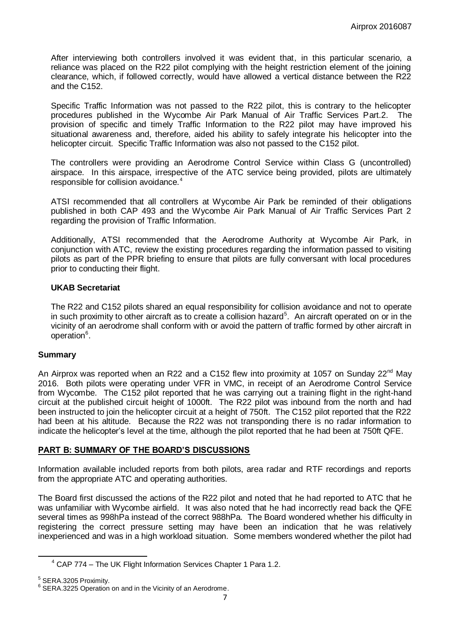After interviewing both controllers involved it was evident that, in this particular scenario, a reliance was placed on the R22 pilot complying with the height restriction element of the joining clearance, which, if followed correctly, would have allowed a vertical distance between the R22 and the C152.

Specific Traffic Information was not passed to the R22 pilot, this is contrary to the helicopter procedures published in the Wycombe Air Park Manual of Air Traffic Services Part.2. The provision of specific and timely Traffic Information to the R22 pilot may have improved his situational awareness and, therefore, aided his ability to safely integrate his helicopter into the helicopter circuit. Specific Traffic Information was also not passed to the C152 pilot.

The controllers were providing an Aerodrome Control Service within Class G (uncontrolled) airspace. In this airspace, irrespective of the ATC service being provided, pilots are ultimately responsible for collision avoidance.<sup>4</sup>

ATSI recommended that all controllers at Wycombe Air Park be reminded of their obligations published in both CAP 493 and the Wycombe Air Park Manual of Air Traffic Services Part 2 regarding the provision of Traffic Information.

Additionally, ATSI recommended that the Aerodrome Authority at Wycombe Air Park, in conjunction with ATC, review the existing procedures regarding the information passed to visiting pilots as part of the PPR briefing to ensure that pilots are fully conversant with local procedures prior to conducting their flight.

# **UKAB Secretariat**

The R22 and C152 pilots shared an equal responsibility for collision avoidance and not to operate in such proximity to other aircraft as to create a collision hazard<sup>5</sup>. An aircraft operated on or in the vicinity of an aerodrome shall conform with or avoid the pattern of traffic formed by other aircraft in operation<sup>6</sup>.

## **Summary**

An Airprox was reported when an R22 and a C152 flew into proximity at 1057 on Sunday  $22^{nd}$  May 2016. Both pilots were operating under VFR in VMC, in receipt of an Aerodrome Control Service from Wycombe. The C152 pilot reported that he was carrying out a training flight in the right-hand circuit at the published circuit height of 1000ft. The R22 pilot was inbound from the north and had been instructed to join the helicopter circuit at a height of 750ft. The C152 pilot reported that the R22 had been at his altitude. Because the R22 was not transponding there is no radar information to indicate the helicopter's level at the time, although the pilot reported that he had been at 750ft QFE.

## **PART B: SUMMARY OF THE BOARD'S DISCUSSIONS**

Information available included reports from both pilots, area radar and RTF recordings and reports from the appropriate ATC and operating authorities.

The Board first discussed the actions of the R22 pilot and noted that he had reported to ATC that he was unfamiliar with Wycombe airfield. It was also noted that he had incorrectly read back the QFE several times as 998hPa instead of the correct 988hPa. The Board wondered whether his difficulty in registering the correct pressure setting may have been an indication that he was relatively inexperienced and was in a high workload situation. Some members wondered whether the pilot had

 $\overline{a}$ 

 $4$  CAP 774 – The UK Flight Information Services Chapter 1 Para 1.2.

 $5$  SERA.3205 Proximity.

<sup>&</sup>lt;sup>6</sup> SERA.3225 Operation on and in the Vicinity of an Aerodrome.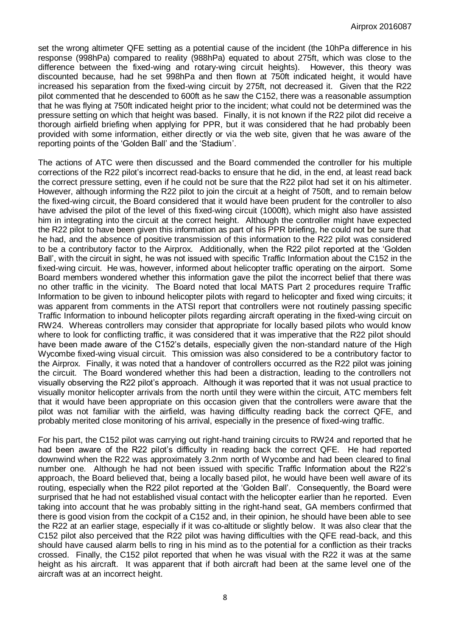set the wrong altimeter QFE setting as a potential cause of the incident (the 10hPa difference in his response (998hPa) compared to reality (988hPa) equated to about 275ft, which was close to the difference between the fixed-wing and rotary-wing circuit heights). However, this theory was discounted because, had he set 998hPa and then flown at 750ft indicated height, it would have increased his separation from the fixed-wing circuit by 275ft, not decreased it. Given that the R22 pilot commented that he descended to 600ft as he saw the C152, there was a reasonable assumption that he was flying at 750ft indicated height prior to the incident; what could not be determined was the pressure setting on which that height was based. Finally, it is not known if the R22 pilot did receive a thorough airfield briefing when applying for PPR, but it was considered that he had probably been provided with some information, either directly or via the web site, given that he was aware of the reporting points of the 'Golden Ball' and the 'Stadium'.

The actions of ATC were then discussed and the Board commended the controller for his multiple corrections of the R22 pilot's incorrect read-backs to ensure that he did, in the end, at least read back the correct pressure setting, even if he could not be sure that the R22 pilot had set it on his altimeter. However, although informing the R22 pilot to join the circuit at a height of 750ft, and to remain below the fixed-wing circuit, the Board considered that it would have been prudent for the controller to also have advised the pilot of the level of this fixed-wing circuit (1000ft), which might also have assisted him in integrating into the circuit at the correct height. Although the controller might have expected the R22 pilot to have been given this information as part of his PPR briefing, he could not be sure that he had, and the absence of positive transmission of this information to the R22 pilot was considered to be a contributory factor to the Airprox. Additionally, when the R22 pilot reported at the 'Golden Ball', with the circuit in sight, he was not issued with specific Traffic Information about the C152 in the fixed-wing circuit. He was, however, informed about helicopter traffic operating on the airport. Some Board members wondered whether this information gave the pilot the incorrect belief that there was no other traffic in the vicinity. The Board noted that local MATS Part 2 procedures require Traffic Information to be given to inbound helicopter pilots with regard to helicopter and fixed wing circuits; it was apparent from comments in the ATSI report that controllers were not routinely passing specific Traffic Information to inbound helicopter pilots regarding aircraft operating in the fixed-wing circuit on RW24. Whereas controllers may consider that appropriate for locally based pilots who would know where to look for conflicting traffic, it was considered that it was imperative that the R22 pilot should have been made aware of the C152's details, especially given the non-standard nature of the High Wycombe fixed-wing visual circuit. This omission was also considered to be a contributory factor to the Airprox. Finally, it was noted that a handover of controllers occurred as the R22 pilot was joining the circuit. The Board wondered whether this had been a distraction, leading to the controllers not visually observing the R22 pilot's approach. Although it was reported that it was not usual practice to visually monitor helicopter arrivals from the north until they were within the circuit, ATC members felt that it would have been appropriate on this occasion given that the controllers were aware that the pilot was not familiar with the airfield, was having difficulty reading back the correct QFE, and probably merited close monitoring of his arrival, especially in the presence of fixed-wing traffic.

For his part, the C152 pilot was carrying out right-hand training circuits to RW24 and reported that he had been aware of the R22 pilot's difficulty in reading back the correct QFE. He had reported downwind when the R22 was approximately 3.2nm north of Wycombe and had been cleared to final number one. Although he had not been issued with specific Traffic Information about the R22's approach, the Board believed that, being a locally based pilot, he would have been well aware of its routing, especially when the R22 pilot reported at the 'Golden Ball'. Consequently, the Board were surprised that he had not established visual contact with the helicopter earlier than he reported. Even taking into account that he was probably sitting in the right-hand seat, GA members confirmed that there is good vision from the cockpit of a C152 and, in their opinion, he should have been able to see the R22 at an earlier stage, especially if it was co-altitude or slightly below. It was also clear that the C152 pilot also perceived that the R22 pilot was having difficulties with the QFE read-back, and this should have caused alarm bells to ring in his mind as to the potential for a confliction as their tracks crossed. Finally, the C152 pilot reported that when he was visual with the R22 it was at the same height as his aircraft. It was apparent that if both aircraft had been at the same level one of the aircraft was at an incorrect height.